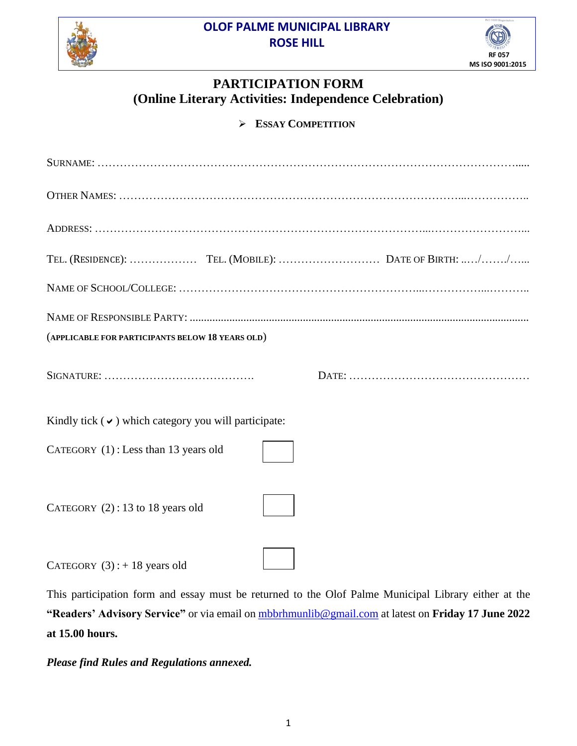**OLOF PALME MUNICIPAL LIBRARY ROSE HILL**





## **PARTICIPATION FORM (Online Literary Activities: Independence Celebration)**

**ESSAY COMPETITION**

| (APPLICABLE FOR PARTICIPANTS BELOW 18 YEARS OLD)          |  |
|-----------------------------------------------------------|--|
|                                                           |  |
| Kindly tick $(\vee)$ which category you will participate: |  |
| CATEGORY (1): Less than 13 years old                      |  |
| CATEGORY $(2)$ : 13 to 18 years old                       |  |
| CATEGORY $(3)$ : + 18 years old                           |  |

CATEGORY  $(3)$ : + 18 years old

This participation form and essay must be returned to the Olof Palme Municipal Library either at the **"Readers' Advisory Service"** or via email on [mbbrhmunlib@gmail.com](mailto:mbbrhmunlib@gmail.com) at latest on **Friday 17 June 2022 at 15.00 hours.**

*Please find Rules and Regulations annexed.*